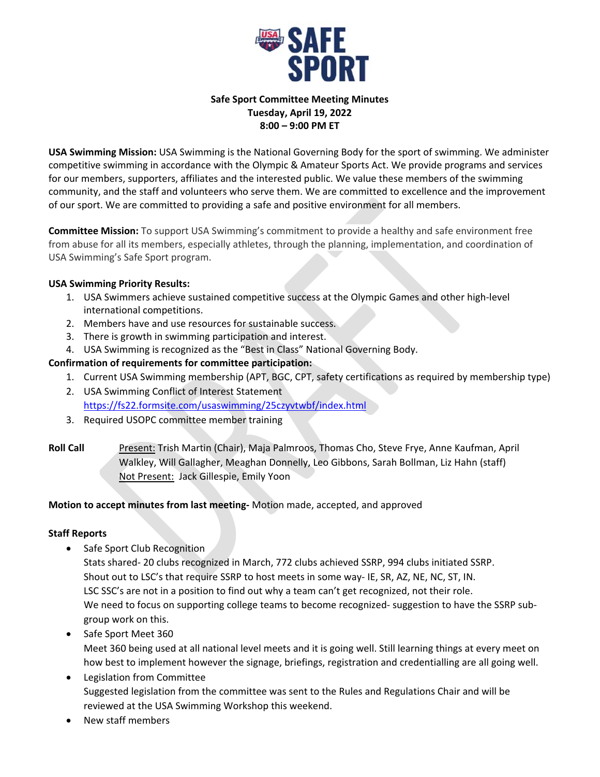

## **Safe Sport Committee Meeting Minutes Tuesday, April 19, 2022 8:00 – 9:00 PM ET**

**USA Swimming Mission:** USA Swimming is the National Governing Body for the sport of swimming. We administer competitive swimming in accordance with the Olympic & Amateur Sports Act. We provide programs and services for our members, supporters, affiliates and the interested public. We value these members of the swimming community, and the staff and volunteers who serve them. We are committed to excellence and the improvement of our sport. We are committed to providing a safe and positive environment for all members.

**Committee Mission:** To support USA Swimming's commitment to provide a healthy and safe environment free from abuse for all its members, especially athletes, through the planning, implementation, and coordination of USA Swimming's Safe Sport program.

# **USA Swimming Priority Results:**

- 1. USA Swimmers achieve sustained competitive success at the Olympic Games and other high-level international competitions.
- 2. Members have and use resources for sustainable success.
- 3. There is growth in swimming participation and interest.
- 4. USA Swimming is recognized as the "Best in Class" National Governing Body.

# **Confirmation of requirements for committee participation:**

- 1. Current USA Swimming membership (APT, BGC, CPT, safety certifications as required by membership type)
- 2. USA Swimming Conflict of Interest Statement https://fs22.formsite.com/usaswimming/25czyvtwbf/index.html
- 3. Required USOPC committee member training
- **Roll Call**  Present: Trish Martin (Chair), Maja Palmroos, Thomas Cho, Steve Frye, Anne Kaufman, April Walkley, Will Gallagher, Meaghan Donnelly, Leo Gibbons, Sarah Bollman, Liz Hahn (staff) Not Present: Jack Gillespie, Emily Yoon

## **Motion to accept minutes from last meeting‐** Motion made, accepted, and approved

## **Staff Reports**

• Safe Sport Club Recognition

Stats shared‐ 20 clubs recognized in March, 772 clubs achieved SSRP, 994 clubs initiated SSRP. Shout out to LSC's that require SSRP to host meets in some way‐ IE, SR, AZ, NE, NC, ST, IN. LSC SSC's are not in a position to find out why a team can't get recognized, not their role. We need to focus on supporting college teams to become recognized- suggestion to have the SSRP subgroup work on this.

- Safe Sport Meet 360 Meet 360 being used at all national level meets and it is going well. Still learning things at every meet on how best to implement however the signage, briefings, registration and credentialling are all going well.
- Legislation from Committee Suggested legislation from the committee was sent to the Rules and Regulations Chair and will be reviewed at the USA Swimming Workshop this weekend.
- New staff members